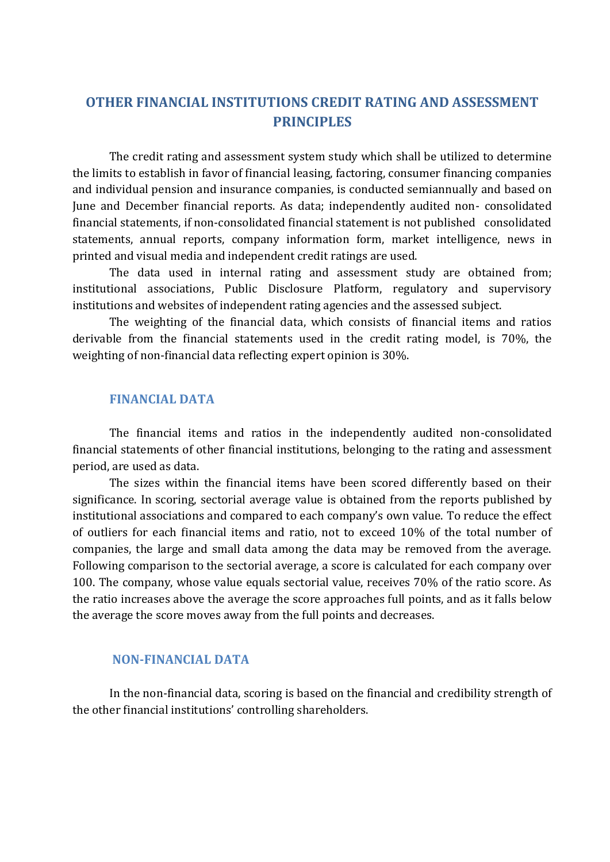# **OTHER FINANCIAL INSTITUTIONS CREDIT RATING AND ASSESSMENT PRINCIPLES**

The credit rating and assessment system study which shall be utilized to determine the limits to establish in favor of financial leasing, factoring, consumer financing companies and individual pension and insurance companies, is conducted semiannually and based on June and December financial reports. As data; independently audited non- consolidated financial statements, if non-consolidated financial statement is not published consolidated statements, annual reports, company information form, market intelligence, news in printed and visual media and independent credit ratings are used.

The data used in internal rating and assessment study are obtained from; institutional associations, Public Disclosure Platform, regulatory and supervisory institutions and websites of independent rating agencies and the assessed subject.

The weighting of the financial data, which consists of financial items and ratios derivable from the financial statements used in the credit rating model, is 70%, the weighting of non-financial data reflecting expert opinion is 30%.

## **FINANCIAL DATA**

The financial items and ratios in the independently audited non-consolidated financial statements of other financial institutions, belonging to the rating and assessment period, are used as data.

The sizes within the financial items have been scored differently based on their significance. In scoring, sectorial average value is obtained from the reports published by institutional associations and compared to each company's own value. To reduce the effect of outliers for each financial items and ratio, not to exceed 10% of the total number of companies, the large and small data among the data may be removed from the average. Following comparison to the sectorial average, a score is calculated for each company over 100. The company, whose value equals sectorial value, receives 70% of the ratio score. As the ratio increases above the average the score approaches full points, and as it falls below the average the score moves away from the full points and decreases.

## **NON-FINANCIAL DATA**

In the non-financial data, scoring is based on the financial and credibility strength of the other financial institutions' controlling shareholders.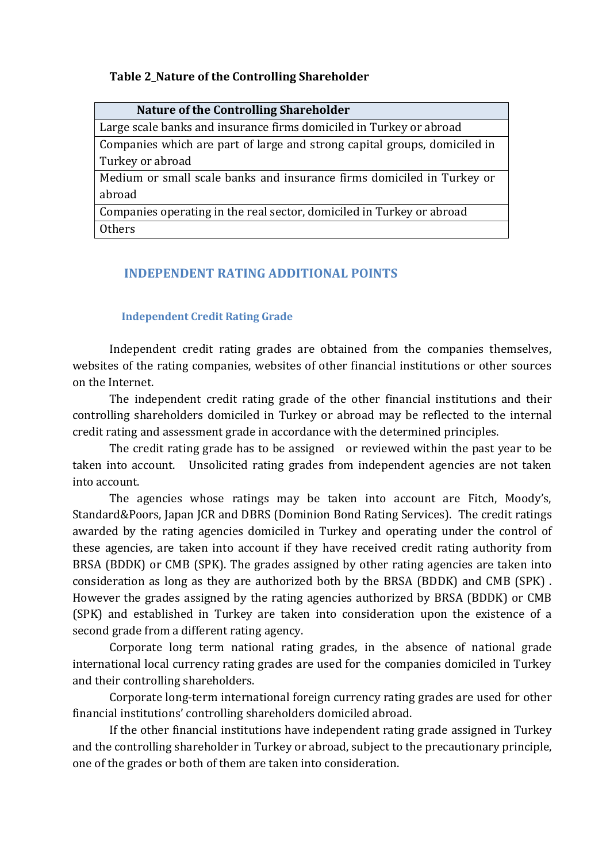## **Table 2\_Nature of the Controlling Shareholder**

| <b>Nature of the Controlling Shareholder</b>                              |
|---------------------------------------------------------------------------|
| Large scale banks and insurance firms domiciled in Turkey or abroad       |
| Companies which are part of large and strong capital groups, domiciled in |
| Turkey or abroad                                                          |
| Medium or small scale banks and insurance firms domiciled in Turkey or    |
| abroad                                                                    |
| Companies operating in the real sector, domiciled in Turkey or abroad     |
| <b>Others</b>                                                             |

## **INDEPENDENT RATING ADDITIONAL POINTS**

#### **Independent Credit Rating Grade**

Independent credit rating grades are obtained from the companies themselves, websites of the rating companies, websites of other financial institutions or other sources on the Internet.

The independent credit rating grade of the other financial institutions and their controlling shareholders domiciled in Turkey or abroad may be reflected to the internal credit rating and assessment grade in accordance with the determined principles.

The credit rating grade has to be assigned or reviewed within the past year to be taken into account. Unsolicited rating grades from independent agencies are not taken into account.

The agencies whose ratings may be taken into account are Fitch, Moody's, Standard&Poors, Japan JCR and DBRS (Dominion Bond Rating Services). The credit ratings awarded by the rating agencies domiciled in Turkey and operating under the control of these agencies, are taken into account if they have received credit rating authority from BRSA (BDDK) or CMB (SPK). The grades assigned by other rating agencies are taken into consideration as long as they are authorized both by the BRSA (BDDK) and CMB (SPK) . However the grades assigned by the rating agencies authorized by BRSA (BDDK) or CMB (SPK) and established in Turkey are taken into consideration upon the existence of a second grade from a different rating agency.

Corporate long term national rating grades, in the absence of national grade international local currency rating grades are used for the companies domiciled in Turkey and their controlling shareholders.

Corporate long-term international foreign currency rating grades are used for other financial institutions' controlling shareholders domiciled abroad.

If the other financial institutions have independent rating grade assigned in Turkey and the controlling shareholder in Turkey or abroad, subject to the precautionary principle, one of the grades or both of them are taken into consideration.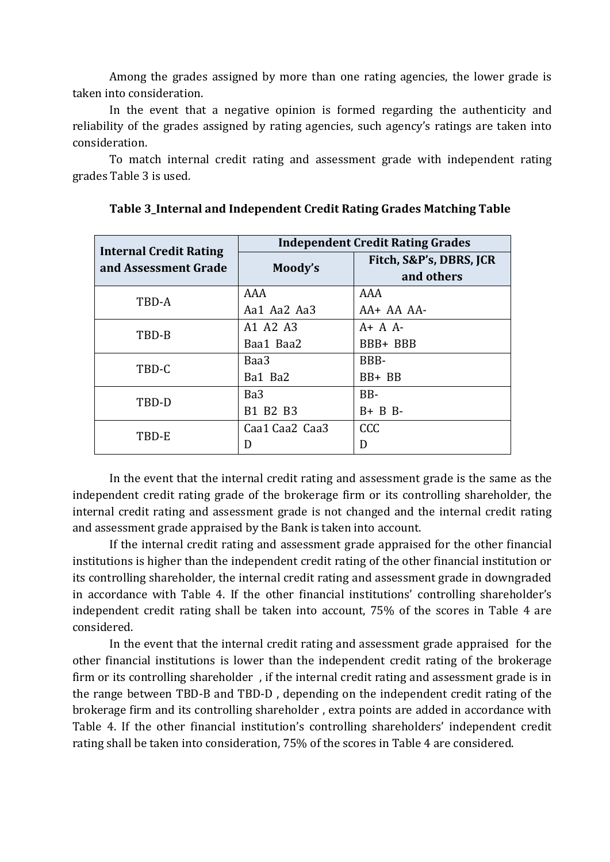Among the grades assigned by more than one rating agencies, the lower grade is taken into consideration.

In the event that a negative opinion is formed regarding the authenticity and reliability of the grades assigned by rating agencies, such agency's ratings are taken into consideration.

To match internal credit rating and assessment grade with independent rating grades Table 3 is used.

| <b>Internal Credit Rating</b> | <b>Independent Credit Rating Grades</b> |                                       |  |
|-------------------------------|-----------------------------------------|---------------------------------------|--|
| and Assessment Grade          | Moody's                                 | Fitch, S&P's, DBRS, JCR<br>and others |  |
| TBD-A                         | AAA                                     | AAA                                   |  |
|                               | Aa1 Aa2 Aa3                             | $AA+AAAA-$                            |  |
| TBD-B                         | A1 A2 A3                                | $A+ A A-$                             |  |
|                               | Baa1 Baa2                               | BBB+ BBB                              |  |
| TBD-C                         | Baa3                                    | BBB-                                  |  |
|                               | Ba1 Ba2                                 | BB+ BB                                |  |
| TBD-D                         | Ba3                                     | BB-                                   |  |
|                               | B1 B2 B3                                | $B + B B$                             |  |
| TBD-E                         | Caa1 Caa2 Caa3                          | <b>CCC</b>                            |  |
|                               |                                         | D                                     |  |

**Table 3\_Internal and Independent Credit Rating Grades Matching Table** 

In the event that the internal credit rating and assessment grade is the same as the independent credit rating grade of the brokerage firm or its controlling shareholder, the internal credit rating and assessment grade is not changed and the internal credit rating and assessment grade appraised by the Bank is taken into account.

If the internal credit rating and assessment grade appraised for the other financial institutions is higher than the independent credit rating of the other financial institution or its controlling shareholder, the internal credit rating and assessment grade in downgraded in accordance with Table 4. If the other financial institutions' controlling shareholder's independent credit rating shall be taken into account, 75% of the scores in Table 4 are considered.

In the event that the internal credit rating and assessment grade appraised for the other financial institutions is lower than the independent credit rating of the brokerage firm or its controlling shareholder , if the internal credit rating and assessment grade is in the range between TBD-B and TBD-D , depending on the independent credit rating of the brokerage firm and its controlling shareholder , extra points are added in accordance with Table 4. If the other financial institution's controlling shareholders' independent credit rating shall be taken into consideration, 75% of the scores in Table 4 are considered.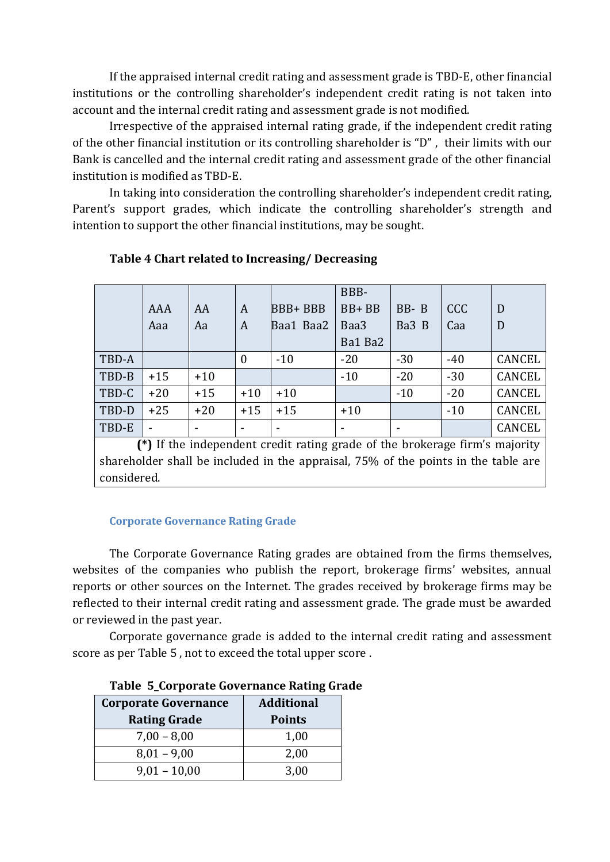If the appraised internal credit rating and assessment grade is TBD-E, other financial institutions or the controlling shareholder's independent credit rating is not taken into account and the internal credit rating and assessment grade is not modified.

Irrespective of the appraised internal rating grade, if the independent credit rating of the other financial institution or its controlling shareholder is "D" , their limits with our Bank is cancelled and the internal credit rating and assessment grade of the other financial institution is modified as TBD-E.

In taking into consideration the controlling shareholder's independent credit rating, Parent's support grades, which indicate the controlling shareholder's strength and intention to support the other financial institutions, may be sought.

|       |       |       |                |                | BBB-      |       |            |               |
|-------|-------|-------|----------------|----------------|-----------|-------|------------|---------------|
|       | AAA   | AA    | A              | <b>BBB+BBB</b> | $BB + BB$ | BB-B  | <b>CCC</b> | D             |
|       | Aaa   | Aa    | A              | Baa1 Baa2      | Baa3      | Ba3 B | Caa        | D             |
|       |       |       |                |                | Ba1 Ba2   |       |            |               |
| TBD-A |       |       | $\overline{0}$ | $-10$          | $-20$     | $-30$ | $-40$      | <b>CANCEL</b> |
| TBD-B | $+15$ | $+10$ |                |                | $-10$     | $-20$ | $-30$      | <b>CANCEL</b> |
| TBD-C | $+20$ | $+15$ | $+10$          | $+10$          |           | $-10$ | $-20$      | <b>CANCEL</b> |
| TBD-D | $+25$ | $+20$ | $+15$          | $+15$          | $+10$     |       | $-10$      | <b>CANCEL</b> |
| TBD-E |       |       | -              | ۰              |           |       |            | <b>CANCEL</b> |

## **Table 4 Chart related to Increasing/ Decreasing**

**(\*)** If the independent credit rating grade of the brokerage firm's majority shareholder shall be included in the appraisal, 75% of the points in the table are considered.

#### **Corporate Governance Rating Grade**

The Corporate Governance Rating grades are obtained from the firms themselves, websites of the companies who publish the report, brokerage firms' websites, annual reports or other sources on the Internet. The grades received by brokerage firms may be reflected to their internal credit rating and assessment grade. The grade must be awarded or reviewed in the past year.

Corporate governance grade is added to the internal credit rating and assessment score as per Table 5 , not to exceed the total upper score .

| <b>Corporate Governance</b> | <b>Additional</b> |  |  |  |
|-----------------------------|-------------------|--|--|--|
| <b>Rating Grade</b>         | <b>Points</b>     |  |  |  |
| $7,00 - 8,00$               | 1,00              |  |  |  |
| $8,01 - 9,00$               | 2,00              |  |  |  |
| $9,01 - 10,00$              | 3,00              |  |  |  |

**Table 5\_Corporate Governance Rating Grade**